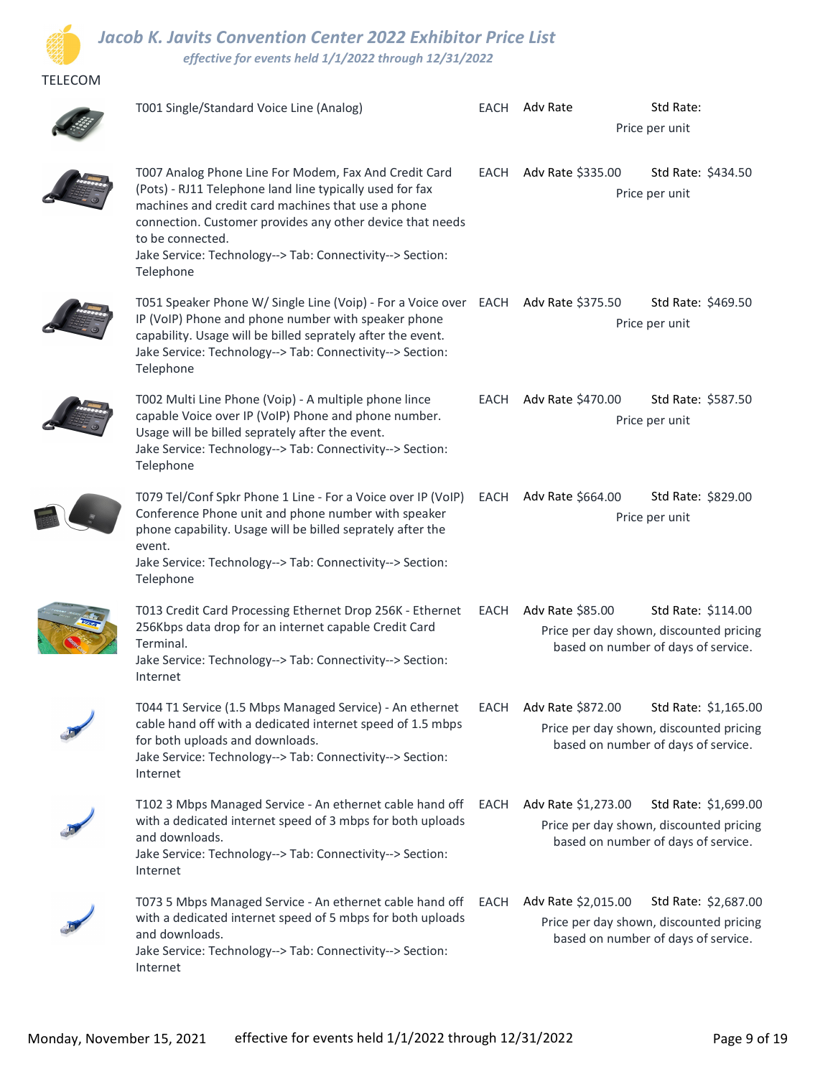

**Contract** 

TELECOM

## Jacob K. Javits Convention Center 2022 Exhibitor Price List effective for events held 1/1/2022 through 12/31/2022

| T001 Single/Standard Voice Line (Analog)                                                                                                                                                                                                                                                                                           |      | EACH Adv Rate          | Std Rate:<br>Price per unit                                                                            |  |
|------------------------------------------------------------------------------------------------------------------------------------------------------------------------------------------------------------------------------------------------------------------------------------------------------------------------------------|------|------------------------|--------------------------------------------------------------------------------------------------------|--|
| T007 Analog Phone Line For Modem, Fax And Credit Card<br>(Pots) - RJ11 Telephone land line typically used for fax<br>machines and credit card machines that use a phone<br>connection. Customer provides any other device that needs<br>to be connected.<br>Jake Service: Technology--> Tab: Connectivity--> Section:<br>Telephone | EACH | Adv Rate \$335.00      | Std Rate: \$434.50<br>Price per unit                                                                   |  |
| T051 Speaker Phone W/ Single Line (Voip) - For a Voice over EACH Adv Rate \$375.50<br>IP (VoIP) Phone and phone number with speaker phone<br>capability. Usage will be billed seprately after the event.<br>Jake Service: Technology--> Tab: Connectivity--> Section:<br>Telephone                                                 |      |                        | Std Rate: \$469.50<br>Price per unit                                                                   |  |
| T002 Multi Line Phone (Voip) - A multiple phone lince<br>capable Voice over IP (VoIP) Phone and phone number.<br>Usage will be billed seprately after the event.<br>Jake Service: Technology--> Tab: Connectivity--> Section:<br>Telephone                                                                                         | EACH | Adv Rate \$470.00      | Std Rate: \$587.50<br>Price per unit                                                                   |  |
| T079 Tel/Conf Spkr Phone 1 Line - For a Voice over IP (VoIP)<br>Conference Phone unit and phone number with speaker<br>phone capability. Usage will be billed seprately after the<br>event.<br>Jake Service: Technology--> Tab: Connectivity--> Section:<br>Telephone                                                              |      | EACH Adv Rate \$664.00 | Std Rate: \$829.00<br>Price per unit                                                                   |  |
| T013 Credit Card Processing Ethernet Drop 256K - Ethernet<br>256Kbps data drop for an internet capable Credit Card<br>Terminal.<br>Jake Service: Technology--> Tab: Connectivity--> Section:<br>Internet                                                                                                                           |      | EACH Adv Rate \$85.00  | Std Rate: \$114.00<br>Price per day shown, discounted pricing<br>based on number of days of service.   |  |
| T044 T1 Service (1.5 Mbps Managed Service) - An ethernet<br>cable hand off with a dedicated internet speed of 1.5 mbps<br>for both uploads and downloads.<br>Jake Service: Technology--> Tab: Connectivity--> Section:<br>Internet                                                                                                 |      | EACH Adv Rate \$872.00 | Std Rate: \$1,165.00<br>Price per day shown, discounted pricing<br>based on number of days of service. |  |
| T102 3 Mbps Managed Service - An ethernet cable hand off EACH Adv Rate \$1,273.00<br>with a dedicated internet speed of 3 mbps for both uploads<br>and downloads.<br>Jake Service: Technology--> Tab: Connectivity--> Section:<br>Internet                                                                                         |      |                        | Std Rate: \$1,699.00<br>Price per day shown, discounted pricing<br>based on number of days of service. |  |
| T073 5 Mbps Managed Service - An ethernet cable hand off EACH Adv Rate \$2,015.00<br>with a dedicated internet speed of 5 mbps for both uploads<br>and downloads.<br>Jake Service: Technology--> Tab: Connectivity--> Section:<br>Internet                                                                                         |      |                        | Std Rate: \$2,687.00<br>Price per day shown, discounted pricing<br>based on number of days of service. |  |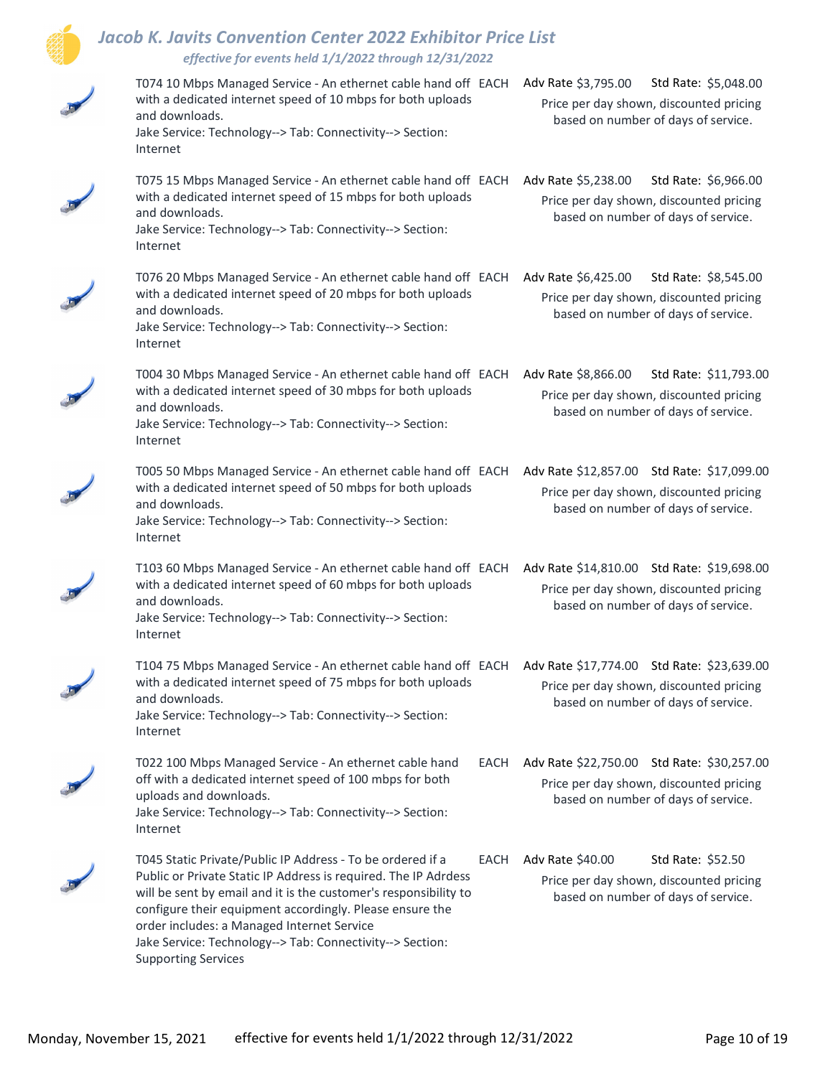

## Jacob K. Javits Convention Center 2022 Exhibitor Price List effective for events held 1/1/2022 through 12/31/2022

| T074 10 Mbps Managed Service - An ethernet cable hand off EACH<br>with a dedicated internet speed of 10 mbps for both uploads<br>and downloads.<br>Jake Service: Technology--> Tab: Connectivity--> Section:<br>Internet                                                                                                                                                                               | Adv Rate \$3,795.00<br>Std Rate: \$5,048.00<br>Price per day shown, discounted pricing<br>based on number of days of service.     |
|--------------------------------------------------------------------------------------------------------------------------------------------------------------------------------------------------------------------------------------------------------------------------------------------------------------------------------------------------------------------------------------------------------|-----------------------------------------------------------------------------------------------------------------------------------|
| T075 15 Mbps Managed Service - An ethernet cable hand off EACH<br>with a dedicated internet speed of 15 mbps for both uploads<br>and downloads.<br>Jake Service: Technology--> Tab: Connectivity--> Section:<br>Internet                                                                                                                                                                               | Adv Rate \$5,238.00<br>Std Rate: \$6,966.00<br>Price per day shown, discounted pricing<br>based on number of days of service.     |
| T076 20 Mbps Managed Service - An ethernet cable hand off EACH<br>with a dedicated internet speed of 20 mbps for both uploads<br>and downloads.<br>Jake Service: Technology--> Tab: Connectivity--> Section:<br>Internet                                                                                                                                                                               | Adv Rate \$6,425.00<br>Std Rate: \$8,545.00<br>Price per day shown, discounted pricing<br>based on number of days of service.     |
| T004 30 Mbps Managed Service - An ethernet cable hand off EACH<br>with a dedicated internet speed of 30 mbps for both uploads<br>and downloads.<br>Jake Service: Technology--> Tab: Connectivity--> Section:<br>Internet                                                                                                                                                                               | Adv Rate \$8,866.00<br>Std Rate: \$11,793.00<br>Price per day shown, discounted pricing<br>based on number of days of service.    |
| T005 50 Mbps Managed Service - An ethernet cable hand off EACH<br>with a dedicated internet speed of 50 mbps for both uploads<br>and downloads.<br>Jake Service: Technology--> Tab: Connectivity--> Section:<br>Internet                                                                                                                                                                               | Adv Rate \$12,857.00 Std Rate: \$17,099.00<br>Price per day shown, discounted pricing<br>based on number of days of service.      |
| T103 60 Mbps Managed Service - An ethernet cable hand off EACH<br>with a dedicated internet speed of 60 mbps for both uploads<br>and downloads.<br>Jake Service: Technology--> Tab: Connectivity--> Section:<br>Internet                                                                                                                                                                               | Adv Rate \$14,810.00 Std Rate: \$19,698.00<br>Price per day shown, discounted pricing<br>based on number of days of service.      |
| T104 75 Mbps Managed Service - An ethernet cable hand off EACH Adv Rate \$17,774.00 Std Rate: \$23,639.00<br>with a dedicated internet speed of 75 mbps for both uploads<br>and downloads.<br>Jake Service: Technology--> Tab: Connectivity--> Section:<br>Internet                                                                                                                                    | Price per day shown, discounted pricing<br>based on number of days of service.                                                    |
| T022 100 Mbps Managed Service - An ethernet cable hand<br>off with a dedicated internet speed of 100 mbps for both<br>uploads and downloads.<br>Jake Service: Technology--> Tab: Connectivity--> Section:<br>Internet                                                                                                                                                                                  | EACH Adv Rate \$22,750.00 Std Rate: \$30,257.00<br>Price per day shown, discounted pricing<br>based on number of days of service. |
| T045 Static Private/Public IP Address - To be ordered if a<br>Public or Private Static IP Address is required. The IP Adrdess<br>will be sent by email and it is the customer's responsibility to<br>configure their equipment accordingly. Please ensure the<br>order includes: a Managed Internet Service<br>Jake Service: Technology--> Tab: Connectivity--> Section:<br><b>Supporting Services</b> | EACH Adv Rate \$40.00<br>Std Rate: \$52.50<br>Price per day shown, discounted pricing<br>based on number of days of service.      |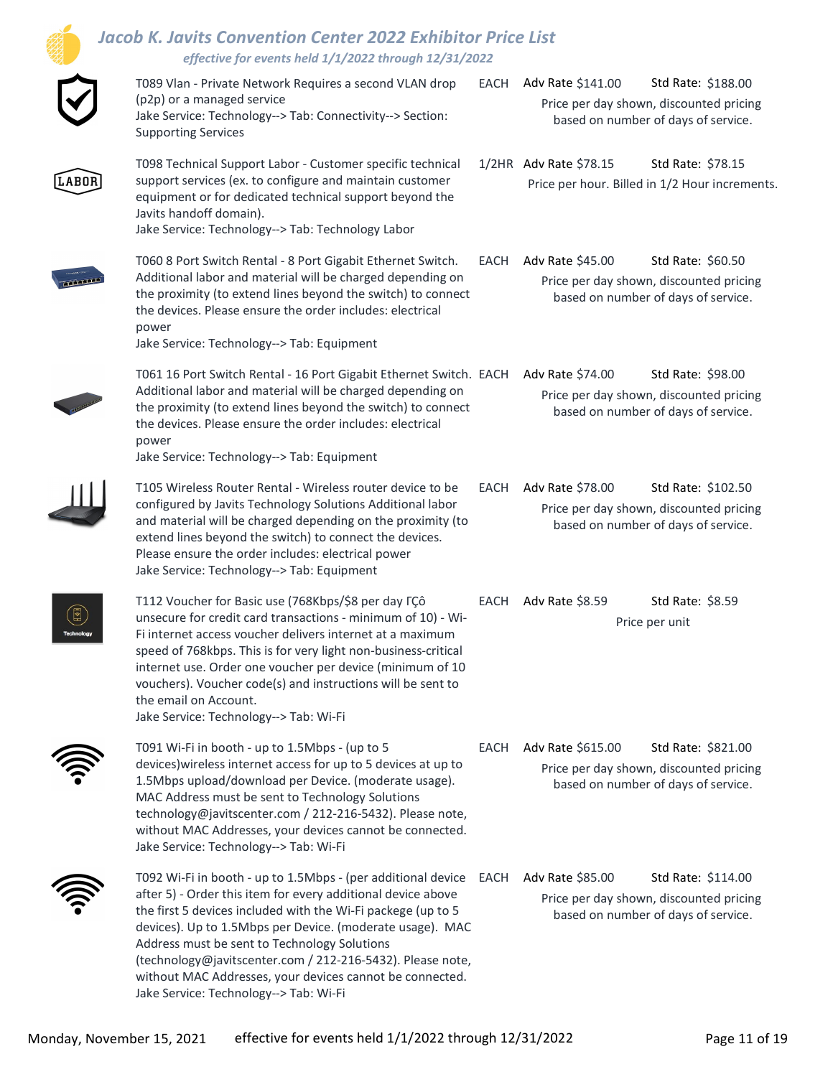|                                                       | <b>Jacob K. Javits Convention Center 2022 Exhibitor Price List</b><br>effective for events held 1/1/2022 through 12/31/2022                                                                                                                                                                                                                                                                                                                                                   |      |                        |                                                                                                      |
|-------------------------------------------------------|-------------------------------------------------------------------------------------------------------------------------------------------------------------------------------------------------------------------------------------------------------------------------------------------------------------------------------------------------------------------------------------------------------------------------------------------------------------------------------|------|------------------------|------------------------------------------------------------------------------------------------------|
|                                                       | T089 Vlan - Private Network Requires a second VLAN drop<br>(p2p) or a managed service<br>Jake Service: Technology--> Tab: Connectivity--> Section:<br><b>Supporting Services</b>                                                                                                                                                                                                                                                                                              | EACH | Adv Rate \$141.00      | Std Rate: \$188.00<br>Price per day shown, discounted pricing<br>based on number of days of service. |
| ABOF                                                  | T098 Technical Support Labor - Customer specific technical<br>support services (ex. to configure and maintain customer<br>equipment or for dedicated technical support beyond the<br>Javits handoff domain).<br>Jake Service: Technology--> Tab: Technology Labor                                                                                                                                                                                                             |      | 1/2HR Adv Rate \$78.15 | Std Rate: \$78.15<br>Price per hour. Billed in 1/2 Hour increments.                                  |
|                                                       | T060 8 Port Switch Rental - 8 Port Gigabit Ethernet Switch.<br>Additional labor and material will be charged depending on<br>the proximity (to extend lines beyond the switch) to connect<br>the devices. Please ensure the order includes: electrical<br>power<br>Jake Service: Technology--> Tab: Equipment                                                                                                                                                                 | EACH | Adv Rate \$45.00       | Std Rate: \$60.50<br>Price per day shown, discounted pricing<br>based on number of days of service.  |
|                                                       | T061 16 Port Switch Rental - 16 Port Gigabit Ethernet Switch. EACH<br>Additional labor and material will be charged depending on<br>the proximity (to extend lines beyond the switch) to connect<br>the devices. Please ensure the order includes: electrical<br>power<br>Jake Service: Technology--> Tab: Equipment                                                                                                                                                          |      | Adv Rate \$74.00       | Std Rate: \$98.00<br>Price per day shown, discounted pricing<br>based on number of days of service.  |
|                                                       | T105 Wireless Router Rental - Wireless router device to be<br>configured by Javits Technology Solutions Additional labor<br>and material will be charged depending on the proximity (to<br>extend lines beyond the switch) to connect the devices.<br>Please ensure the order includes: electrical power<br>Jake Service: Technology--> Tab: Equipment                                                                                                                        | EACH | Adv Rate \$78.00       | Std Rate: \$102.50<br>Price per day shown, discounted pricing<br>based on number of days of service. |
| $\left[\begin{matrix}\blacksquare\end{matrix}\right]$ | T112 Voucher for Basic use (768Kbps/\$8 per day FÇô<br>unsecure for credit card transactions - minimum of 10) - Wi-<br>Fi internet access voucher delivers internet at a maximum<br>speed of 768kbps. This is for very light non-business-critical<br>internet use. Order one voucher per device (minimum of 10<br>vouchers). Voucher code(s) and instructions will be sent to<br>the email on Account.<br>Jake Service: Technology--> Tab: Wi-Fi                             | EACH | Adv Rate \$8.59        | Std Rate: \$8.59<br>Price per unit                                                                   |
|                                                       | T091 Wi-Fi in booth - up to 1.5Mbps - (up to 5<br>devices) wireless internet access for up to 5 devices at up to<br>1.5Mbps upload/download per Device. (moderate usage).<br>MAC Address must be sent to Technology Solutions<br>technology@javitscenter.com / 212-216-5432). Please note,<br>without MAC Addresses, your devices cannot be connected.<br>Jake Service: Technology--> Tab: Wi-Fi                                                                              | EACH | Adv Rate \$615.00      | Std Rate: \$821.00<br>Price per day shown, discounted pricing<br>based on number of days of service. |
|                                                       | T092 Wi-Fi in booth - up to 1.5Mbps - (per additional device<br>after 5) - Order this item for every additional device above<br>the first 5 devices included with the Wi-Fi packege (up to 5<br>devices). Up to 1.5Mbps per Device. (moderate usage). MAC<br>Address must be sent to Technology Solutions<br>(technology@javitscenter.com / 212-216-5432). Please note,<br>without MAC Addresses, your devices cannot be connected.<br>Jake Service: Technology--> Tab: Wi-Fi | EACH | Adv Rate \$85.00       | Std Rate: \$114.00<br>Price per day shown, discounted pricing<br>based on number of days of service. |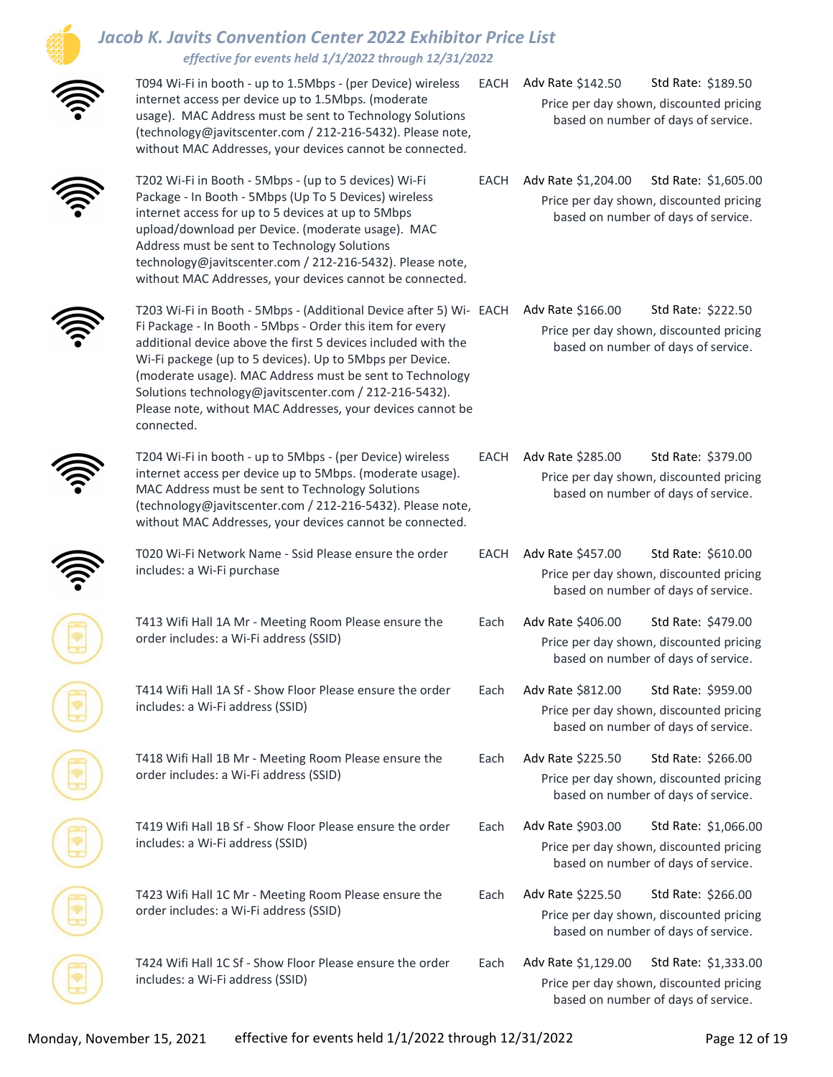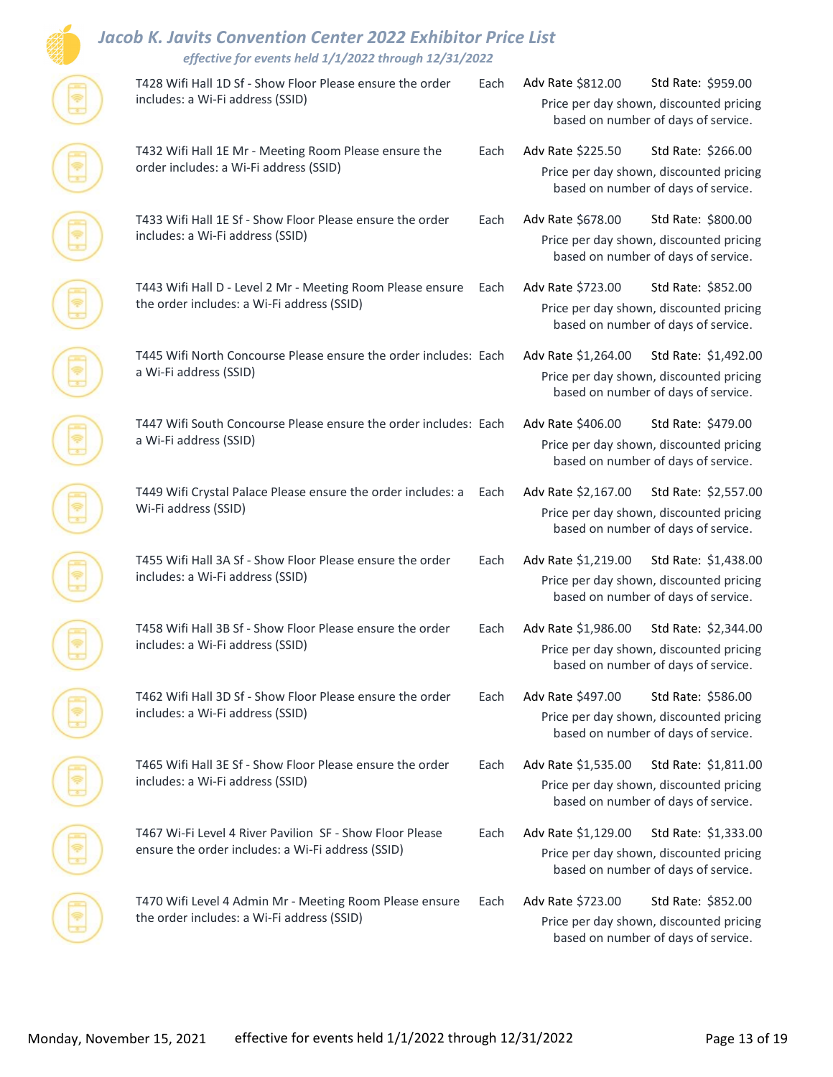## Jacob K. Javits Convention Center 2022 Exhibitor Price List

|  | effective for events held 1/1/2022 through 12/31/2022                                                         |      |                                                                                |                                                                                |  |  |
|--|---------------------------------------------------------------------------------------------------------------|------|--------------------------------------------------------------------------------|--------------------------------------------------------------------------------|--|--|
|  | T428 Wifi Hall 1D Sf - Show Floor Please ensure the order<br>includes: a Wi-Fi address (SSID)                 | Each | Adv Rate \$812.00                                                              | Std Rate: \$959.00                                                             |  |  |
|  |                                                                                                               |      |                                                                                | Price per day shown, discounted pricing<br>based on number of days of service. |  |  |
|  | T432 Wifi Hall 1E Mr - Meeting Room Please ensure the<br>order includes: a Wi-Fi address (SSID)               | Each | Adv Rate \$225.50                                                              | Std Rate: \$266.00                                                             |  |  |
|  |                                                                                                               |      |                                                                                | Price per day shown, discounted pricing<br>based on number of days of service. |  |  |
|  | T433 Wifi Hall 1E Sf - Show Floor Please ensure the order<br>includes: a Wi-Fi address (SSID)                 | Each | Adv Rate \$678.00                                                              | Std Rate: \$800.00                                                             |  |  |
|  |                                                                                                               |      |                                                                                | Price per day shown, discounted pricing<br>based on number of days of service. |  |  |
|  | T443 Wifi Hall D - Level 2 Mr - Meeting Room Please ensure<br>the order includes: a Wi-Fi address (SSID)      | Each | Adv Rate \$723.00                                                              | Std Rate: \$852.00                                                             |  |  |
|  |                                                                                                               |      | Price per day shown, discounted pricing<br>based on number of days of service. |                                                                                |  |  |
|  | T445 Wifi North Concourse Please ensure the order includes: Each                                              |      | Adv Rate \$1,264.00                                                            | Std Rate: \$1,492.00                                                           |  |  |
|  | a Wi-Fi address (SSID)                                                                                        |      | Price per day shown, discounted pricing<br>based on number of days of service. |                                                                                |  |  |
|  | T447 Wifi South Concourse Please ensure the order includes: Each<br>a Wi-Fi address (SSID)                    |      | Adv Rate \$406.00                                                              | Std Rate: \$479.00                                                             |  |  |
|  |                                                                                                               |      | Price per day shown, discounted pricing<br>based on number of days of service. |                                                                                |  |  |
|  | T449 Wifi Crystal Palace Please ensure the order includes: a<br>Wi-Fi address (SSID)                          | Each | Adv Rate \$2,167.00                                                            | Std Rate: \$2,557.00                                                           |  |  |
|  |                                                                                                               |      |                                                                                | Price per day shown, discounted pricing<br>based on number of days of service. |  |  |
|  | T455 Wifi Hall 3A Sf - Show Floor Please ensure the order<br>includes: a Wi-Fi address (SSID)                 | Each | Adv Rate \$1,219.00                                                            | Std Rate: \$1,438.00                                                           |  |  |
|  |                                                                                                               |      |                                                                                | Price per day shown, discounted pricing<br>based on number of days of service. |  |  |
|  | T458 Wifi Hall 3B Sf - Show Floor Please ensure the order                                                     | Each | Adv Rate \$1,986.00                                                            | Std Rate: \$2,344.00                                                           |  |  |
|  | includes: a Wi-Fi address (SSID)                                                                              |      |                                                                                | Price per day shown, discounted pricing<br>based on number of days of service. |  |  |
|  | T462 Wifi Hall 3D Sf - Show Floor Please ensure the order                                                     | Each | Adv Rate \$497.00                                                              | Std Rate: \$586.00                                                             |  |  |
|  | includes: a Wi-Fi address (SSID)                                                                              |      | Price per day shown, discounted pricing<br>based on number of days of service. |                                                                                |  |  |
|  | T465 Wifi Hall 3E Sf - Show Floor Please ensure the order<br>includes: a Wi-Fi address (SSID)                 | Each | Adv Rate \$1,535.00                                                            | Std Rate: \$1,811.00                                                           |  |  |
|  |                                                                                                               |      |                                                                                | Price per day shown, discounted pricing<br>based on number of days of service. |  |  |
|  | T467 Wi-Fi Level 4 River Pavilion SF - Show Floor Please<br>ensure the order includes: a Wi-Fi address (SSID) | Each | Adv Rate \$1,129.00                                                            | Std Rate: \$1,333.00                                                           |  |  |
|  |                                                                                                               |      |                                                                                | Price per day shown, discounted pricing<br>based on number of days of service. |  |  |
|  | T470 Wifi Level 4 Admin Mr - Meeting Room Please ensure<br>the order includes: a Wi-Fi address (SSID)         | Each | Adv Rate \$723.00                                                              | Std Rate: \$852.00                                                             |  |  |
|  |                                                                                                               |      |                                                                                | Price per day shown, discounted pricing<br>based on number of days of service. |  |  |